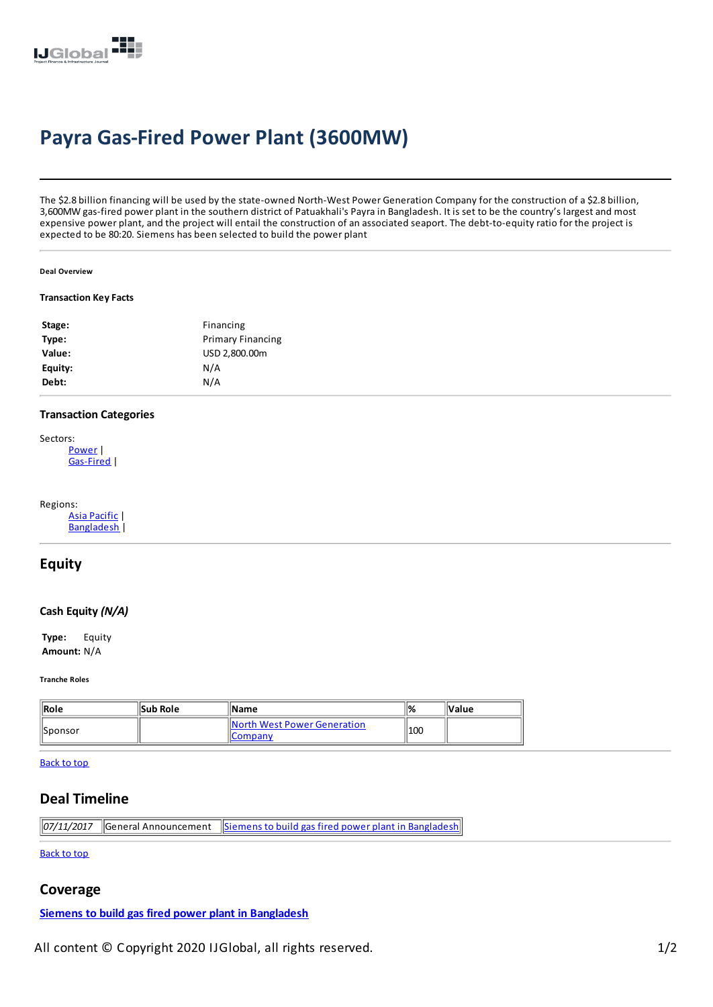

# **Payra Gas-Fired Power Plant (3600MW)**

The \$2.8 billion financing will be used by the state-owned North-West Power Generation Company for the construction of a \$2.8 billion, 3,600MW gas-fired power plant in the southern district of Patuakhali's Payrain Bangladesh. It is set to be the country's largestand most expensive power plant, and the project will entail the construction of an associated seaport. The debt-to-equity ratio for the project is expected to be 80:20.Siemens has been selected to build the power plant

#### **Deal Overview**

#### **Transaction KeyFacts**

| Stage:  | Financing                |
|---------|--------------------------|
| Type:   | <b>Primary Financing</b> |
| Value:  | USD 2,800.00m            |
| Equity: | N/A                      |
| Debt:   | N/A                      |
|         |                          |

### **Transaction Categories**

 $\overline{1}$ 

| Sectors:  |
|-----------|
| Power     |
| Gas-Fired |

| Regions: |                   |
|----------|-------------------|
|          | Asia Pacific I    |
|          | <b>Bangladesh</b> |

# **Equity**

### **Cash Equity***(N/A)*

**Type:** Equity **Amount:** N/A

**Tranche Roles**

| $\parallel$ Role | <b>Sub Role</b> | <b>Name</b>                                     | '1% | <b>Value</b> |
|------------------|-----------------|-------------------------------------------------|-----|--------------|
| <b>Sponsor</b>   |                 | North West Power Generation<br><b>I</b> Company | 100 |              |

[Back](javascript:window.scrollTo(0, 0);) to top

# **Deal Timeline**

*07/11/2017* General Announcement Siemens to build gas fired power plant in [Bangladesh](https://ijglobal.com/Articles/130718)

[Back](javascript:window.scrollTo(0, 0);) to top

## **Coverage**

**Siemens to build gas fired power plant in [Bangladesh](https://ijglobal.com/articles/130718/siemens-to-build-gas-fired-power-plant-in-bangladesh)**

All content © Copyright 2020 IJGlobal, all rights reserved. 1/2